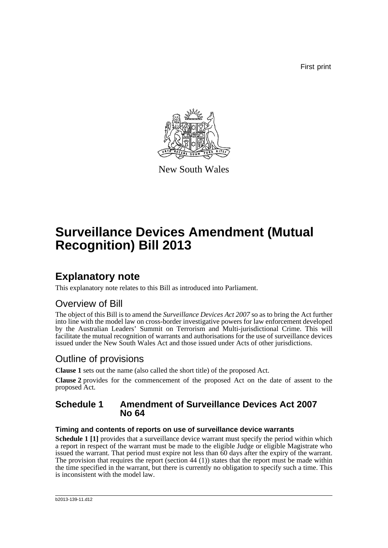First print



New South Wales

# **Surveillance Devices Amendment (Mutual Recognition) Bill 2013**

## **Explanatory note**

This explanatory note relates to this Bill as introduced into Parliament.

## Overview of Bill

The object of this Bill is to amend the *Surveillance Devices Act 2007* so as to bring the Act further into line with the model law on cross-border investigative powers for law enforcement developed by the Australian Leaders' Summit on Terrorism and Multi-jurisdictional Crime. This will facilitate the mutual recognition of warrants and authorisations for the use of surveillance devices issued under the New South Wales Act and those issued under Acts of other jurisdictions.

## Outline of provisions

**Clause 1** sets out the name (also called the short title) of the proposed Act.

**Clause 2** provides for the commencement of the proposed Act on the date of assent to the proposed Act.

## **Schedule 1 Amendment of Surveillance Devices Act 2007 No 64**

### **Timing and contents of reports on use of surveillance device warrants**

**Schedule 1 [1]** provides that a surveillance device warrant must specify the period within which a report in respect of the warrant must be made to the eligible Judge or eligible Magistrate who issued the warrant. That period must expire not less than 60 days after the expiry of the warrant. The provision that requires the report (section 44 (1)) states that the report must be made within the time specified in the warrant, but there is currently no obligation to specify such a time. This is inconsistent with the model law.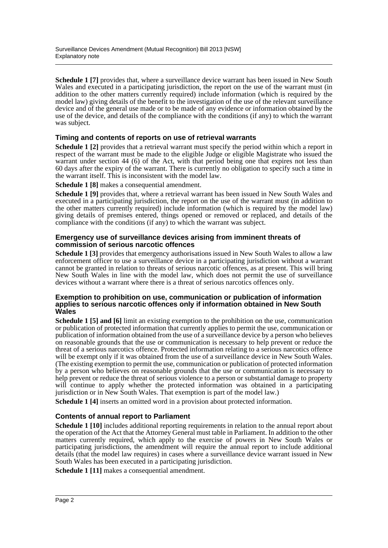**Schedule 1 [7]** provides that, where a surveillance device warrant has been issued in New South Wales and executed in a participating jurisdiction, the report on the use of the warrant must (in addition to the other matters currently required) include information (which is required by the model law) giving details of the benefit to the investigation of the use of the relevant surveillance device and of the general use made or to be made of any evidence or information obtained by the use of the device, and details of the compliance with the conditions (if any) to which the warrant was subject.

### **Timing and contents of reports on use of retrieval warrants**

**Schedule 1 [2]** provides that a retrieval warrant must specify the period within which a report in respect of the warrant must be made to the eligible Judge or eligible Magistrate who issued the warrant under section 44 (6) of the Act, with that period being one that expires not less than 60 days after the expiry of the warrant. There is currently no obligation to specify such a time in the warrant itself. This is inconsistent with the model law.

**Schedule 1 [8]** makes a consequential amendment.

**Schedule 1 [9]** provides that, where a retrieval warrant has been issued in New South Wales and executed in a participating jurisdiction, the report on the use of the warrant must (in addition to the other matters currently required) include information (which is required by the model law) giving details of premises entered, things opened or removed or replaced, and details of the compliance with the conditions (if any) to which the warrant was subject.

#### **Emergency use of surveillance devices arising from imminent threats of commission of serious narcotic offences**

**Schedule 1 [3]** provides that emergency authorisations issued in New South Wales to allow a law enforcement officer to use a surveillance device in a participating jurisdiction without a warrant cannot be granted in relation to threats of serious narcotic offences, as at present. This will bring New South Wales in line with the model law, which does not permit the use of surveillance devices without a warrant where there is a threat of serious narcotics offences only.

#### **Exemption to prohibition on use, communication or publication of information applies to serious narcotic offences only if information obtained in New South Wales**

**Schedule 1 [5] and [6]** limit an existing exemption to the prohibition on the use, communication or publication of protected information that currently applies to permit the use, communication or publication of information obtained from the use of a surveillance device by a person who believes on reasonable grounds that the use or communication is necessary to help prevent or reduce the threat of a serious narcotics offence. Protected information relating to a serious narcotics offence will be exempt only if it was obtained from the use of a surveillance device in New South Wales. (The existing exemption to permit the use, communication or publication of protected information by a person who believes on reasonable grounds that the use or communication is necessary to help prevent or reduce the threat of serious violence to a person or substantial damage to property will continue to apply whether the protected information was obtained in a participating jurisdiction or in New South Wales. That exemption is part of the model law.)

**Schedule 1 [4]** inserts an omitted word in a provision about protected information.

### **Contents of annual report to Parliament**

**Schedule 1 [10]** includes additional reporting requirements in relation to the annual report about the operation of the Act that the Attorney General must table in Parliament. In addition to the other matters currently required, which apply to the exercise of powers in New South Wales or participating jurisdictions, the amendment will require the annual report to include additional details (that the model law requires) in cases where a surveillance device warrant issued in New South Wales has been executed in a participating jurisdiction.

**Schedule 1 [11]** makes a consequential amendment.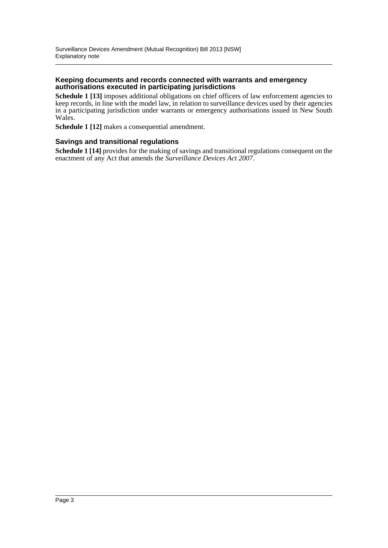#### **Keeping documents and records connected with warrants and emergency authorisations executed in participating jurisdictions**

**Schedule 1 [13]** imposes additional obligations on chief officers of law enforcement agencies to keep records, in line with the model law, in relation to surveillance devices used by their agencies in a participating jurisdiction under warrants or emergency authorisations issued in New South Wales.

**Schedule 1 [12]** makes a consequential amendment.

#### **Savings and transitional regulations**

**Schedule 1 [14]** provides for the making of savings and transitional regulations consequent on the enactment of any Act that amends the *Surveillance Devices Act 2007*.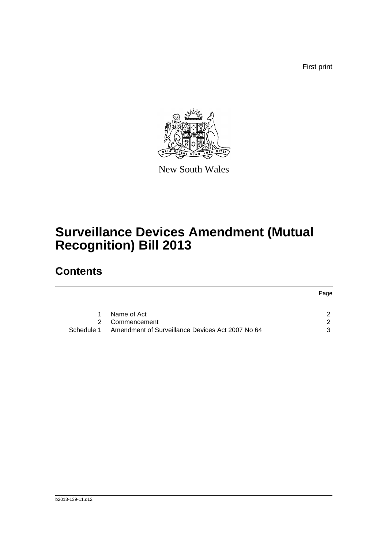First print



New South Wales

# **Surveillance Devices Amendment (Mutual Recognition) Bill 2013**

## **Contents**

|             |                                                  | Page |
|-------------|--------------------------------------------------|------|
| $\mathbf 1$ | Name of Act                                      |      |
|             | 2 Commencement                                   | 2    |
| Schedule 1  | Amendment of Surveillance Devices Act 2007 No 64 | 3    |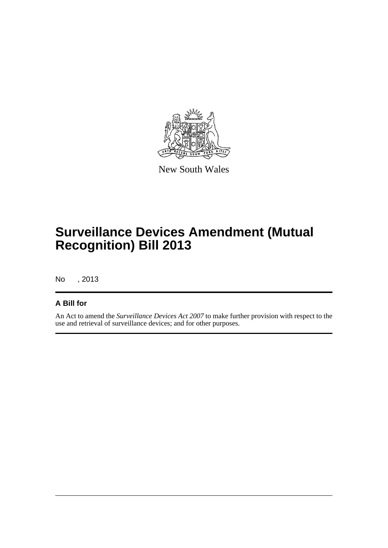

New South Wales

# **Surveillance Devices Amendment (Mutual Recognition) Bill 2013**

No , 2013

### **A Bill for**

An Act to amend the *Surveillance Devices Act 2007* to make further provision with respect to the use and retrieval of surveillance devices; and for other purposes.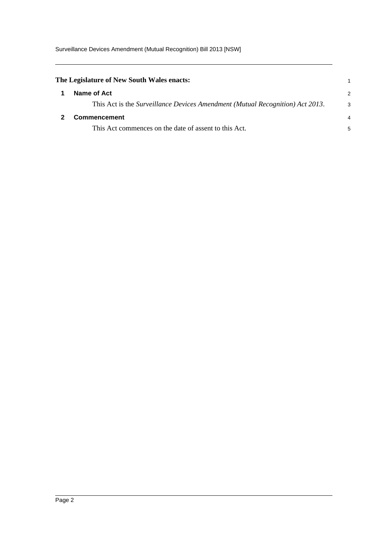<span id="page-5-1"></span><span id="page-5-0"></span>

| 2                                                                                  |
|------------------------------------------------------------------------------------|
| This Act is the Surveillance Devices Amendment (Mutual Recognition) Act 2013.<br>3 |
| 4                                                                                  |
| 5                                                                                  |
|                                                                                    |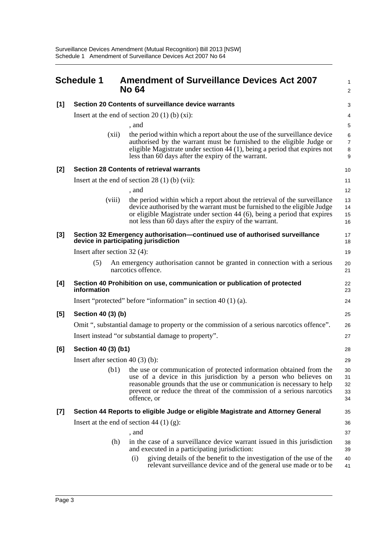<span id="page-6-0"></span>

| <b>Schedule 1</b> |                                                                                                                                                                                                                                                                                                          | $\mathbf{1}$<br>$\overline{2}$                                                                                                                                                                                                                                                                                                                                                                                                                                                                                                                                                                                                                                                                                                                                                                                                                                                                                                                                                                                                                                                                                                                                                                                    |
|-------------------|----------------------------------------------------------------------------------------------------------------------------------------------------------------------------------------------------------------------------------------------------------------------------------------------------------|-------------------------------------------------------------------------------------------------------------------------------------------------------------------------------------------------------------------------------------------------------------------------------------------------------------------------------------------------------------------------------------------------------------------------------------------------------------------------------------------------------------------------------------------------------------------------------------------------------------------------------------------------------------------------------------------------------------------------------------------------------------------------------------------------------------------------------------------------------------------------------------------------------------------------------------------------------------------------------------------------------------------------------------------------------------------------------------------------------------------------------------------------------------------------------------------------------------------|
|                   |                                                                                                                                                                                                                                                                                                          |                                                                                                                                                                                                                                                                                                                                                                                                                                                                                                                                                                                                                                                                                                                                                                                                                                                                                                                                                                                                                                                                                                                                                                                                                   |
|                   |                                                                                                                                                                                                                                                                                                          | 3                                                                                                                                                                                                                                                                                                                                                                                                                                                                                                                                                                                                                                                                                                                                                                                                                                                                                                                                                                                                                                                                                                                                                                                                                 |
|                   |                                                                                                                                                                                                                                                                                                          | 4                                                                                                                                                                                                                                                                                                                                                                                                                                                                                                                                                                                                                                                                                                                                                                                                                                                                                                                                                                                                                                                                                                                                                                                                                 |
|                   |                                                                                                                                                                                                                                                                                                          | 5                                                                                                                                                                                                                                                                                                                                                                                                                                                                                                                                                                                                                                                                                                                                                                                                                                                                                                                                                                                                                                                                                                                                                                                                                 |
|                   | authorised by the warrant must be furnished to the eligible Judge or<br>eligible Magistrate under section $44$ (1), being a period that expires not                                                                                                                                                      | $\,6\,$<br>$\boldsymbol{7}$<br>$\bf 8$                                                                                                                                                                                                                                                                                                                                                                                                                                                                                                                                                                                                                                                                                                                                                                                                                                                                                                                                                                                                                                                                                                                                                                            |
|                   |                                                                                                                                                                                                                                                                                                          | 9                                                                                                                                                                                                                                                                                                                                                                                                                                                                                                                                                                                                                                                                                                                                                                                                                                                                                                                                                                                                                                                                                                                                                                                                                 |
|                   |                                                                                                                                                                                                                                                                                                          | 10                                                                                                                                                                                                                                                                                                                                                                                                                                                                                                                                                                                                                                                                                                                                                                                                                                                                                                                                                                                                                                                                                                                                                                                                                |
|                   |                                                                                                                                                                                                                                                                                                          | 11                                                                                                                                                                                                                                                                                                                                                                                                                                                                                                                                                                                                                                                                                                                                                                                                                                                                                                                                                                                                                                                                                                                                                                                                                |
|                   | , and                                                                                                                                                                                                                                                                                                    | 12                                                                                                                                                                                                                                                                                                                                                                                                                                                                                                                                                                                                                                                                                                                                                                                                                                                                                                                                                                                                                                                                                                                                                                                                                |
| (viii)            | the period within which a report about the retrieval of the surveillance<br>device authorised by the warrant must be furnished to the eligible Judge<br>or eligible Magistrate under section 44 (6), being a period that expires<br>not less than 60 days after the expiry of the warrant.               | 13<br>14<br>15<br>16                                                                                                                                                                                                                                                                                                                                                                                                                                                                                                                                                                                                                                                                                                                                                                                                                                                                                                                                                                                                                                                                                                                                                                                              |
|                   |                                                                                                                                                                                                                                                                                                          | 17<br>18                                                                                                                                                                                                                                                                                                                                                                                                                                                                                                                                                                                                                                                                                                                                                                                                                                                                                                                                                                                                                                                                                                                                                                                                          |
|                   |                                                                                                                                                                                                                                                                                                          | 19                                                                                                                                                                                                                                                                                                                                                                                                                                                                                                                                                                                                                                                                                                                                                                                                                                                                                                                                                                                                                                                                                                                                                                                                                |
| (5)               |                                                                                                                                                                                                                                                                                                          | 20<br>21                                                                                                                                                                                                                                                                                                                                                                                                                                                                                                                                                                                                                                                                                                                                                                                                                                                                                                                                                                                                                                                                                                                                                                                                          |
| information       |                                                                                                                                                                                                                                                                                                          | 22<br>23                                                                                                                                                                                                                                                                                                                                                                                                                                                                                                                                                                                                                                                                                                                                                                                                                                                                                                                                                                                                                                                                                                                                                                                                          |
|                   |                                                                                                                                                                                                                                                                                                          | 24                                                                                                                                                                                                                                                                                                                                                                                                                                                                                                                                                                                                                                                                                                                                                                                                                                                                                                                                                                                                                                                                                                                                                                                                                |
|                   |                                                                                                                                                                                                                                                                                                          | 25                                                                                                                                                                                                                                                                                                                                                                                                                                                                                                                                                                                                                                                                                                                                                                                                                                                                                                                                                                                                                                                                                                                                                                                                                |
|                   |                                                                                                                                                                                                                                                                                                          | 26                                                                                                                                                                                                                                                                                                                                                                                                                                                                                                                                                                                                                                                                                                                                                                                                                                                                                                                                                                                                                                                                                                                                                                                                                |
|                   |                                                                                                                                                                                                                                                                                                          | 27                                                                                                                                                                                                                                                                                                                                                                                                                                                                                                                                                                                                                                                                                                                                                                                                                                                                                                                                                                                                                                                                                                                                                                                                                |
|                   |                                                                                                                                                                                                                                                                                                          | 28                                                                                                                                                                                                                                                                                                                                                                                                                                                                                                                                                                                                                                                                                                                                                                                                                                                                                                                                                                                                                                                                                                                                                                                                                |
|                   |                                                                                                                                                                                                                                                                                                          | 29                                                                                                                                                                                                                                                                                                                                                                                                                                                                                                                                                                                                                                                                                                                                                                                                                                                                                                                                                                                                                                                                                                                                                                                                                |
| (b1)              | the use or communication of protected information obtained from the<br>use of a device in this jurisdiction by a person who believes on<br>reasonable grounds that the use or communication is necessary to help<br>prevent or reduce the threat of the commission of a serious narcotics<br>offence, or | 30<br>31<br>32<br>33<br>34                                                                                                                                                                                                                                                                                                                                                                                                                                                                                                                                                                                                                                                                                                                                                                                                                                                                                                                                                                                                                                                                                                                                                                                        |
|                   |                                                                                                                                                                                                                                                                                                          | 35                                                                                                                                                                                                                                                                                                                                                                                                                                                                                                                                                                                                                                                                                                                                                                                                                                                                                                                                                                                                                                                                                                                                                                                                                |
|                   |                                                                                                                                                                                                                                                                                                          | 36                                                                                                                                                                                                                                                                                                                                                                                                                                                                                                                                                                                                                                                                                                                                                                                                                                                                                                                                                                                                                                                                                                                                                                                                                |
|                   | , and                                                                                                                                                                                                                                                                                                    | 37                                                                                                                                                                                                                                                                                                                                                                                                                                                                                                                                                                                                                                                                                                                                                                                                                                                                                                                                                                                                                                                                                                                                                                                                                |
| (h)               | in the case of a surveillance device warrant issued in this jurisdiction<br>and executed in a participating jurisdiction:                                                                                                                                                                                | 38<br>39                                                                                                                                                                                                                                                                                                                                                                                                                                                                                                                                                                                                                                                                                                                                                                                                                                                                                                                                                                                                                                                                                                                                                                                                          |
|                   | giving details of the benefit to the investigation of the use of the<br>(i)<br>relevant surveillance device and of the general use made or to be                                                                                                                                                         | 40<br>41                                                                                                                                                                                                                                                                                                                                                                                                                                                                                                                                                                                                                                                                                                                                                                                                                                                                                                                                                                                                                                                                                                                                                                                                          |
|                   | (xii)                                                                                                                                                                                                                                                                                                    | <b>Amendment of Surveillance Devices Act 2007</b><br><b>No 64</b><br>Section 20 Contents of surveillance device warrants<br>Insert at the end of section 20 (1) (b) $(xi)$ :<br>, and<br>the period within which a report about the use of the surveillance device<br>less than 60 days after the expiry of the warrant.<br><b>Section 28 Contents of retrieval warrants</b><br>Insert at the end of section $28(1)$ (b) (vii):<br>Section 32 Emergency authorisation-continued use of authorised surveillance<br>device in participating jurisdiction<br>Insert after section $32(4)$ :<br>An emergency authorisation cannot be granted in connection with a serious<br>narcotics offence.<br>Section 40 Prohibition on use, communication or publication of protected<br>Insert "protected" before "information" in section $40(1)(a)$ .<br>Section 40 (3) (b)<br>Omit ", substantial damage to property or the commission of a serious narcotics offence".<br>Insert instead "or substantial damage to property".<br>Section 40 (3) (b1)<br>Insert after section 40 $(3)$ (b):<br>Section 44 Reports to eligible Judge or eligible Magistrate and Attorney General<br>Insert at the end of section 44 (1) (g): |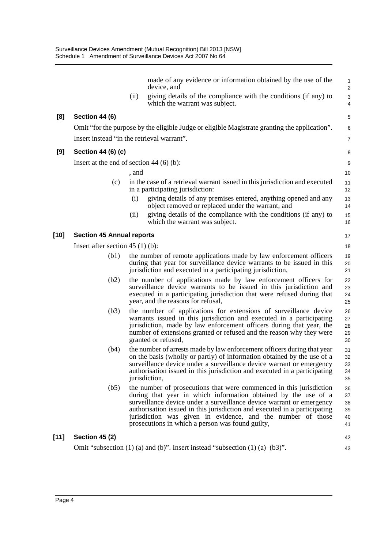|        |                                            |       | made of any evidence or information obtained by the use of the<br>device, and                                                                                                                                                                                                                                                                                                                                 | $\mathbf{1}$<br>$\overline{2}$   |
|--------|--------------------------------------------|-------|---------------------------------------------------------------------------------------------------------------------------------------------------------------------------------------------------------------------------------------------------------------------------------------------------------------------------------------------------------------------------------------------------------------|----------------------------------|
|        |                                            | (ii)  | giving details of the compliance with the conditions (if any) to<br>which the warrant was subject.                                                                                                                                                                                                                                                                                                            | 3<br>4                           |
| [8]    | Section 44 (6)                             |       |                                                                                                                                                                                                                                                                                                                                                                                                               | 5                                |
|        |                                            |       | Omit "for the purpose by the eligible Judge or eligible Magistrate granting the application".                                                                                                                                                                                                                                                                                                                 | 6                                |
|        | Insert instead "in the retrieval warrant". |       |                                                                                                                                                                                                                                                                                                                                                                                                               | $\overline{7}$                   |
| [9]    | Section 44 (6) (c)                         |       |                                                                                                                                                                                                                                                                                                                                                                                                               | 8                                |
|        | Insert at the end of section 44 $(6)$ (b): |       |                                                                                                                                                                                                                                                                                                                                                                                                               | $\boldsymbol{9}$                 |
|        |                                            | , and |                                                                                                                                                                                                                                                                                                                                                                                                               | 10                               |
|        | (c)                                        |       | in the case of a retrieval warrant issued in this jurisdiction and executed<br>in a participating jurisdiction:                                                                                                                                                                                                                                                                                               | 11<br>12                         |
|        |                                            | (i)   | giving details of any premises entered, anything opened and any<br>object removed or replaced under the warrant, and                                                                                                                                                                                                                                                                                          | 13<br>14                         |
|        |                                            | (ii)  | giving details of the compliance with the conditions (if any) to<br>which the warrant was subject.                                                                                                                                                                                                                                                                                                            | 15<br>16                         |
| $[10]$ | <b>Section 45 Annual reports</b>           |       |                                                                                                                                                                                                                                                                                                                                                                                                               | 17                               |
|        | Insert after section $45(1)(b)$ :          |       |                                                                                                                                                                                                                                                                                                                                                                                                               | 18                               |
|        | (b1)                                       |       | the number of remote applications made by law enforcement officers<br>during that year for surveillance device warrants to be issued in this<br>jurisdiction and executed in a participating jurisdiction,                                                                                                                                                                                                    | 19<br>20<br>21                   |
|        | (b2)                                       |       | the number of applications made by law enforcement officers for<br>surveillance device warrants to be issued in this jurisdiction and<br>executed in a participating jurisdiction that were refused during that<br>year, and the reasons for refusal,                                                                                                                                                         | 22<br>23<br>24<br>25             |
|        | (b3)                                       |       | the number of applications for extensions of surveillance device<br>warrants issued in this jurisdiction and executed in a participating<br>jurisdiction, made by law enforcement officers during that year, the<br>number of extensions granted or refused and the reason why they were<br>granted or refused,                                                                                               | 26<br>27<br>28<br>29<br>30       |
|        | (b4)                                       |       | the number of arrests made by law enforcement officers during that year<br>on the basis (wholly or partly) of information obtained by the use of a<br>surveillance device under a surveillance device warrant or emergency<br>authorisation issued in this jurisdiction and executed in a participating<br>jurisdiction,                                                                                      | 31<br>32<br>33<br>34<br>35       |
|        | (b5)                                       |       | the number of prosecutions that were commenced in this jurisdiction<br>during that year in which information obtained by the use of a<br>surveillance device under a surveillance device warrant or emergency<br>authorisation issued in this jurisdiction and executed in a participating<br>jurisdiction was given in evidence, and the number of those<br>prosecutions in which a person was found guilty, | 36<br>37<br>38<br>39<br>40<br>41 |
| $[11]$ | <b>Section 45 (2)</b>                      |       |                                                                                                                                                                                                                                                                                                                                                                                                               | 42                               |
|        |                                            |       | Omit "subsection $(1)$ (a) and (b)". Insert instead "subsection $(1)$ (a)–(b3)".                                                                                                                                                                                                                                                                                                                              | 43                               |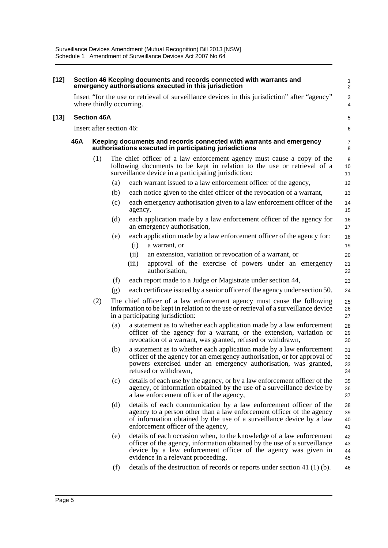| $[12]$ |     |                          |     | Section 46 Keeping documents and records connected with warrants and<br>emergency authorisations executed in this jurisdiction                                                                                                                           | $\mathbf{1}$<br>$\overline{2}$ |
|--------|-----|--------------------------|-----|----------------------------------------------------------------------------------------------------------------------------------------------------------------------------------------------------------------------------------------------------------|--------------------------------|
|        |     |                          |     | Insert "for the use or retrieval of surveillance devices in this jurisdiction" after "agency"<br>where thirdly occurring.                                                                                                                                | 3<br>4                         |
| [13]   |     | <b>Section 46A</b>       |     |                                                                                                                                                                                                                                                          | 5                              |
|        |     | Insert after section 46: |     |                                                                                                                                                                                                                                                          | 6                              |
|        | 46A |                          |     | Keeping documents and records connected with warrants and emergency<br>authorisations executed in participating jurisdictions                                                                                                                            | 7<br>8                         |
|        | (1) |                          |     | The chief officer of a law enforcement agency must cause a copy of the<br>following documents to be kept in relation to the use or retrieval of a<br>surveillance device in a participating jurisdiction:                                                | 9<br>10<br>11                  |
|        |     |                          | (a) | each warrant issued to a law enforcement officer of the agency,                                                                                                                                                                                          | 12                             |
|        |     |                          | (b) | each notice given to the chief officer of the revocation of a warrant,                                                                                                                                                                                   | 13                             |
|        |     |                          | (c) | each emergency authorisation given to a law enforcement officer of the<br>agency,                                                                                                                                                                        | 14<br>15                       |
|        |     |                          | (d) | each application made by a law enforcement officer of the agency for<br>an emergency authorisation,                                                                                                                                                      | 16<br>17                       |
|        |     |                          | (e) | each application made by a law enforcement officer of the agency for:<br>(i)<br>a warrant, or                                                                                                                                                            | 18<br>19                       |
|        |     |                          |     | (ii)<br>an extension, variation or revocation of a warrant, or                                                                                                                                                                                           | 20                             |
|        |     |                          |     | (iii)<br>approval of the exercise of powers under an emergency<br>authorisation,                                                                                                                                                                         | 21<br>22                       |
|        |     |                          | (f) | each report made to a Judge or Magistrate under section 44,                                                                                                                                                                                              | 23                             |
|        |     |                          | (g) | each certificate issued by a senior officer of the agency under section 50.                                                                                                                                                                              | 24                             |
|        |     | (2)                      |     | The chief officer of a law enforcement agency must cause the following<br>information to be kept in relation to the use or retrieval of a surveillance device<br>in a participating jurisdiction:                                                        | 25<br>26<br>27                 |
|        |     |                          | (a) | a statement as to whether each application made by a law enforcement<br>officer of the agency for a warrant, or the extension, variation or<br>revocation of a warrant, was granted, refused or withdrawn,                                               | 28<br>29<br>30                 |
|        |     |                          | (b) | a statement as to whether each application made by a law enforcement<br>officer of the agency for an emergency authorisation, or for approval of<br>powers exercised under an emergency authorisation, was granted,<br>refused or withdrawn,             | 31<br>32<br>33<br>34           |
|        |     |                          | (c) | details of each use by the agency, or by a law enforcement officer of the<br>agency, of information obtained by the use of a surveillance device by<br>a law enforcement officer of the agency,                                                          | 35<br>36<br>37                 |
|        |     |                          | (d) | details of each communication by a law enforcement officer of the<br>agency to a person other than a law enforcement officer of the agency<br>of information obtained by the use of a surveillance device by a law<br>enforcement officer of the agency, | 38<br>39<br>40<br>41           |
|        |     |                          | (e) | details of each occasion when, to the knowledge of a law enforcement<br>officer of the agency, information obtained by the use of a surveillance<br>device by a law enforcement officer of the agency was given in<br>evidence in a relevant proceeding, | 42<br>43<br>44<br>45           |
|        |     |                          | (f) | details of the destruction of records or reports under section 41 $(1)$ (b).                                                                                                                                                                             | 46                             |
|        |     |                          |     |                                                                                                                                                                                                                                                          |                                |